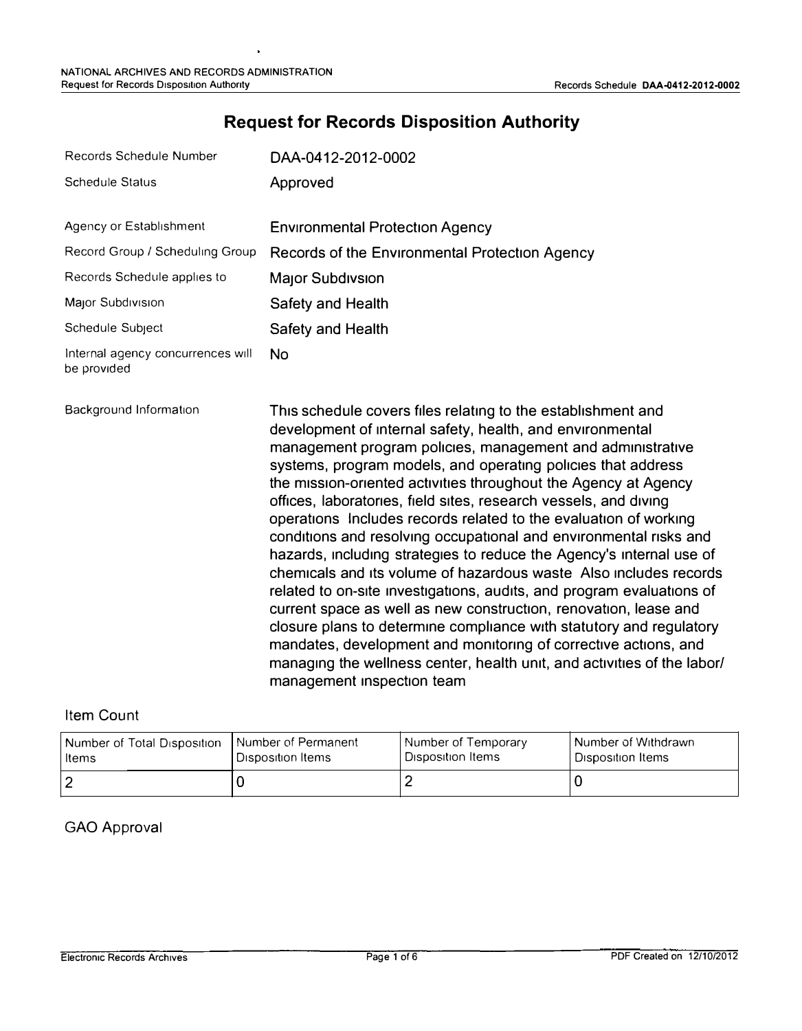| Records Schedule Number                          | DAA-0412-2012-0002                                                                                                                                                                                                                                                                                                         |
|--------------------------------------------------|----------------------------------------------------------------------------------------------------------------------------------------------------------------------------------------------------------------------------------------------------------------------------------------------------------------------------|
| <b>Schedule Status</b>                           | Approved                                                                                                                                                                                                                                                                                                                   |
| Agency or Establishment                          | <b>Environmental Protection Agency</b>                                                                                                                                                                                                                                                                                     |
| Record Group / Scheduling Group                  | Records of the Environmental Protection Agency                                                                                                                                                                                                                                                                             |
| Records Schedule applies to                      | <b>Major Subdivsion</b>                                                                                                                                                                                                                                                                                                    |
| Major Subdivision                                | Safety and Health                                                                                                                                                                                                                                                                                                          |
| Schedule Subject                                 | Safety and Health                                                                                                                                                                                                                                                                                                          |
| Internal agency concurrences will<br>be provided | No.                                                                                                                                                                                                                                                                                                                        |
| Background Information                           | This schedule covers files relating to the establishment and<br>development of internal safety, health, and environmental<br>management program policies, management and administrative<br>systems, program models, and operating policies that address<br>the mission-oriented activities throughout the Agency at Agency |

## **Request for Records Disposition Authority**

### Item Count

| Number of Total Disposition | I Number of Permanent | Number of Temporary | Number of Withdrawn |
|-----------------------------|-----------------------|---------------------|---------------------|
| Items                       | Disposition Items     | Disposition Items   | l Disposition Items |
|                             |                       |                     |                     |

management inspection team

offices, laboratories, field sites, research vessels, and diving operations Includes records related to the evaluation of working conditions and resolving occupational and environmental risks and hazards, including strategies to reduce the Agency's internal use of chemicals and its volume of hazardous waste Also includes records related to on-site investigations, audits, and program evaluations of current space as well as new construction, renovation, lease and closure plans to determine compliance with statutory and regulatory mandates, development and monitoring of corrective actions, and managing the wellness center, health unit, and activities of the labor/

### GAO Approval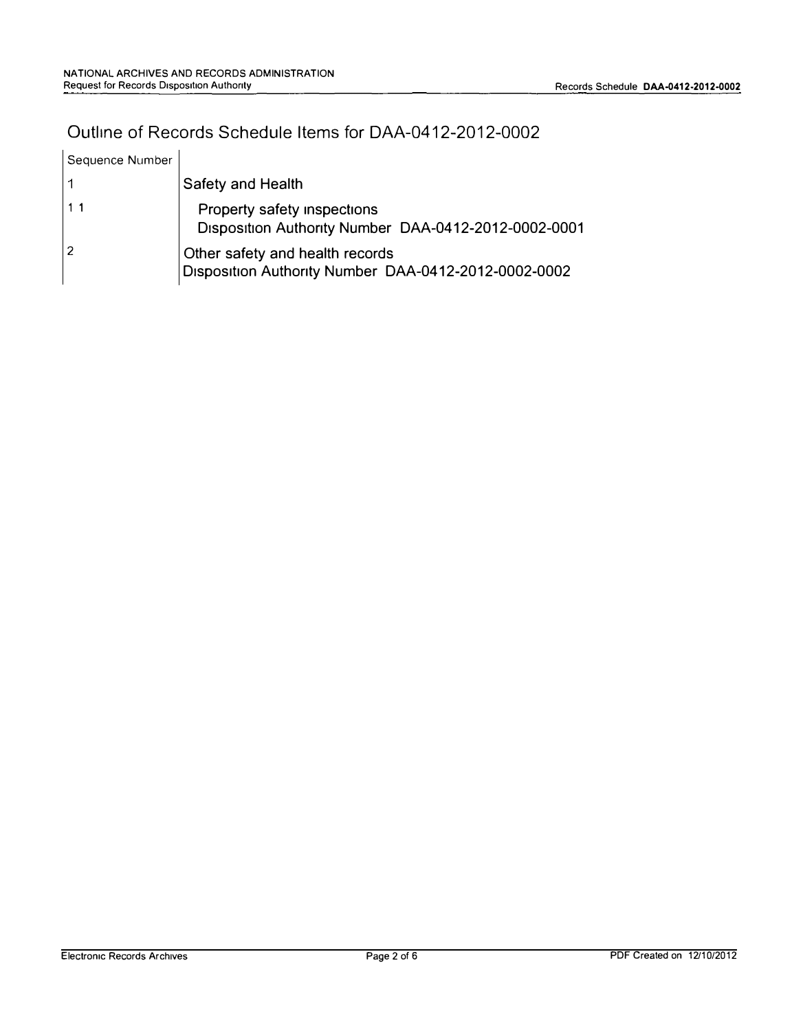# Outline of Records Schedule Items for DAA-0412-2012-0002

| Sequence Number |                                                                                         |
|-----------------|-----------------------------------------------------------------------------------------|
|                 | <b>Safety and Health</b>                                                                |
| 1 <sub>1</sub>  | Property safety inspections<br>Disposition Authority Number DAA-0412-2012-0002-0001     |
| 2               | Other safety and health records<br>Disposition Authority Number DAA-0412-2012-0002-0002 |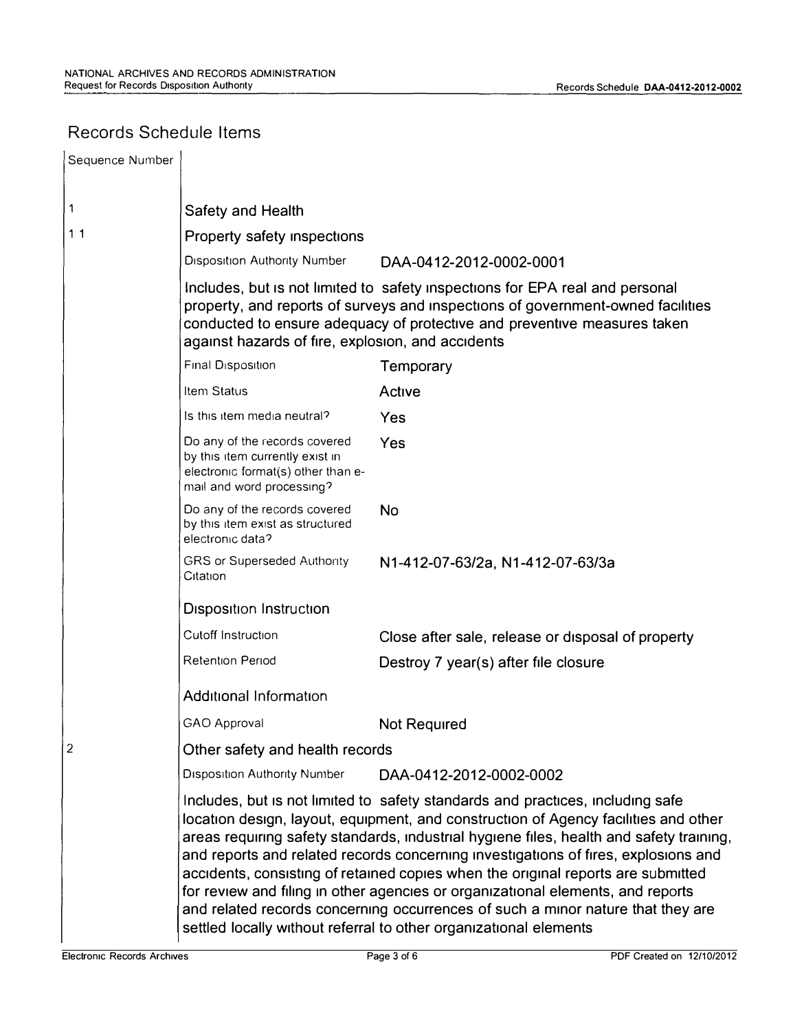## Records Schedule Items

| Sequence Number |                                                                                                                                     |                                                                                                                                                                                                                                                                                                                                                                                                                                                                                                                                                                                                                                                                                       |
|-----------------|-------------------------------------------------------------------------------------------------------------------------------------|---------------------------------------------------------------------------------------------------------------------------------------------------------------------------------------------------------------------------------------------------------------------------------------------------------------------------------------------------------------------------------------------------------------------------------------------------------------------------------------------------------------------------------------------------------------------------------------------------------------------------------------------------------------------------------------|
| 1               | Safety and Health                                                                                                                   |                                                                                                                                                                                                                                                                                                                                                                                                                                                                                                                                                                                                                                                                                       |
| 11              | Property safety inspections                                                                                                         |                                                                                                                                                                                                                                                                                                                                                                                                                                                                                                                                                                                                                                                                                       |
|                 | <b>Disposition Authority Number</b>                                                                                                 | DAA-0412-2012-0002-0001                                                                                                                                                                                                                                                                                                                                                                                                                                                                                                                                                                                                                                                               |
|                 | against hazards of fire, explosion, and accidents                                                                                   | Includes, but is not limited to safety inspections for EPA real and personal<br>property, and reports of surveys and inspections of government-owned facilities<br>conducted to ensure adequacy of protective and preventive measures taken                                                                                                                                                                                                                                                                                                                                                                                                                                           |
|                 | Final Disposition                                                                                                                   | Temporary                                                                                                                                                                                                                                                                                                                                                                                                                                                                                                                                                                                                                                                                             |
|                 | Item Status                                                                                                                         | Active                                                                                                                                                                                                                                                                                                                                                                                                                                                                                                                                                                                                                                                                                |
|                 | Is this item media neutral?                                                                                                         | Yes                                                                                                                                                                                                                                                                                                                                                                                                                                                                                                                                                                                                                                                                                   |
|                 | Do any of the records covered<br>by this item currently exist in<br>electronic format(s) other than e-<br>mail and word processing? | Yes                                                                                                                                                                                                                                                                                                                                                                                                                                                                                                                                                                                                                                                                                   |
|                 | Do any of the records covered<br>by this item exist as structured<br>electronic data?                                               | <b>No</b>                                                                                                                                                                                                                                                                                                                                                                                                                                                                                                                                                                                                                                                                             |
|                 | GRS or Superseded Authority<br>Citation                                                                                             | N1-412-07-63/2a, N1-412-07-63/3a                                                                                                                                                                                                                                                                                                                                                                                                                                                                                                                                                                                                                                                      |
|                 | <b>Disposition Instruction</b>                                                                                                      |                                                                                                                                                                                                                                                                                                                                                                                                                                                                                                                                                                                                                                                                                       |
|                 | Cutoff Instruction                                                                                                                  | Close after sale, release or disposal of property                                                                                                                                                                                                                                                                                                                                                                                                                                                                                                                                                                                                                                     |
|                 | Retention Period                                                                                                                    | Destroy 7 year(s) after file closure                                                                                                                                                                                                                                                                                                                                                                                                                                                                                                                                                                                                                                                  |
|                 | <b>Additional Information</b>                                                                                                       |                                                                                                                                                                                                                                                                                                                                                                                                                                                                                                                                                                                                                                                                                       |
|                 | GAO Approval                                                                                                                        | Not Required                                                                                                                                                                                                                                                                                                                                                                                                                                                                                                                                                                                                                                                                          |
| 2               | Other safety and health records                                                                                                     |                                                                                                                                                                                                                                                                                                                                                                                                                                                                                                                                                                                                                                                                                       |
|                 | <b>Disposition Authority Number</b>                                                                                                 | DAA-0412-2012-0002-0002                                                                                                                                                                                                                                                                                                                                                                                                                                                                                                                                                                                                                                                               |
|                 |                                                                                                                                     | Includes, but is not limited to safety standards and practices, including safe<br>location design, layout, equipment, and construction of Agency facilities and other<br>areas requiring safety standards, industrial hygiene files, health and safety training,<br>and reports and related records concerning investigations of fires, explosions and<br>accidents, consisting of retained copies when the original reports are submitted<br>for review and filing in other agencies or organizational elements, and reports<br>and related records concerning occurrences of such a minor nature that they are<br>settled locally without referral to other organizational elements |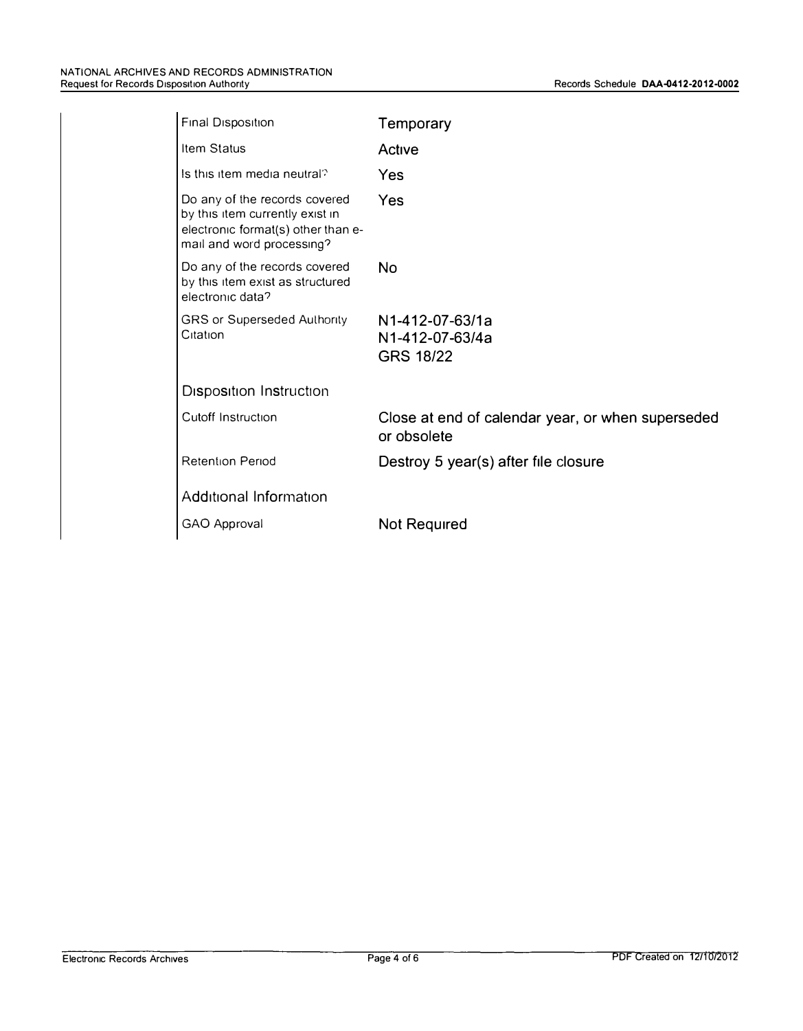| Final Disposition                                                                                                                   | Temporary                                                        |
|-------------------------------------------------------------------------------------------------------------------------------------|------------------------------------------------------------------|
| Item Status                                                                                                                         | Active                                                           |
| Is this item media neutral?                                                                                                         | Yes                                                              |
| Do any of the records covered<br>by this item currently exist in<br>electronic format(s) other than e-<br>mail and word processing? | Yes                                                              |
| Do any of the records covered<br>by this item exist as structured<br>electronic data?                                               | No                                                               |
| <b>GRS or Superseded Authority</b><br>Citation                                                                                      | N1-412-07-63/1a<br>N1-412-07-63/4a<br><b>GRS 18/22</b>           |
| <b>Disposition Instruction</b>                                                                                                      |                                                                  |
| Cutoff Instruction                                                                                                                  | Close at end of calendar year, or when superseded<br>or obsolete |
| <b>Retention Period</b>                                                                                                             | Destroy 5 year(s) after file closure                             |
| Additional Information                                                                                                              |                                                                  |
| GAO Approval                                                                                                                        | Not Required                                                     |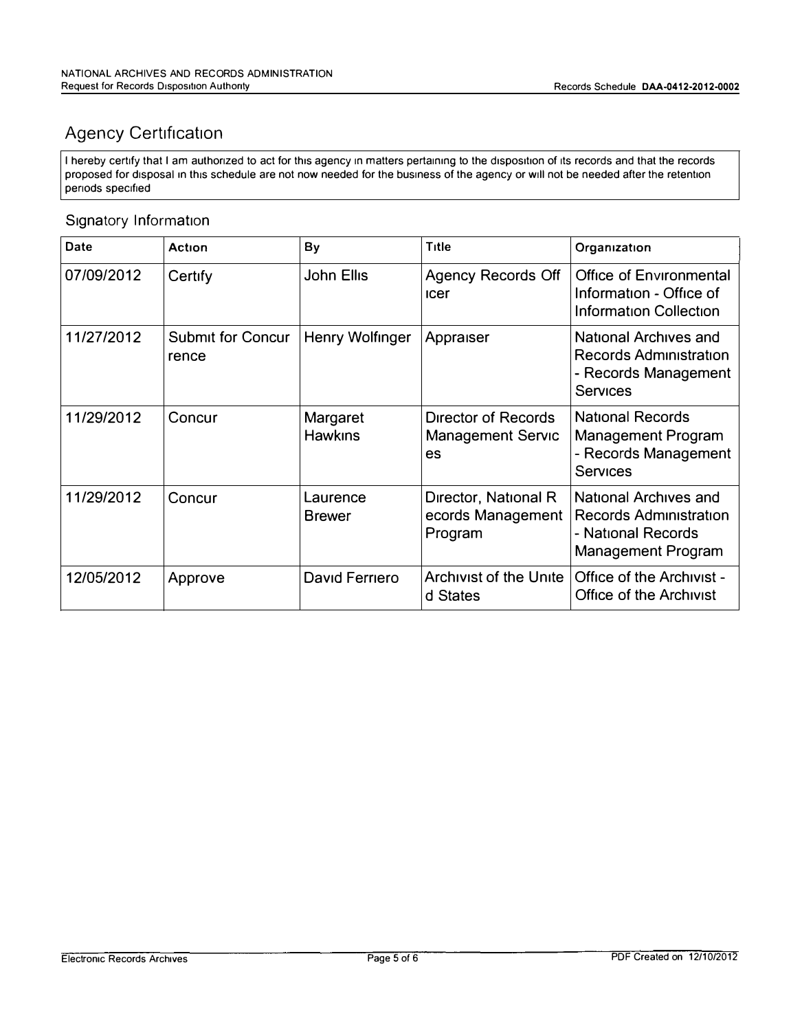# Agency Certification

I hereby certify that I am authorized to act for this agency in matters pertaining to the disposition of its records and that the records proposed for disposal in this schedule are not now needed for the business of the agency or will not be needed after the retention periods specified

## Signatory Information

| Date       | Action                            | By                         | Title                                                 | Organization                                                                                              |
|------------|-----------------------------------|----------------------------|-------------------------------------------------------|-----------------------------------------------------------------------------------------------------------|
| 07/09/2012 | Certify                           | John Ellis                 | Agency Records Off<br><b>ICET</b>                     | <b>Office of Environmental</b><br>Information - Office of<br><b>Information Collection</b>                |
| 11/27/2012 | <b>Submit for Concur</b><br>rence | <b>Henry Wolfinger</b>     | Appraiser                                             | National Archives and<br><b>Records Administration</b><br>- Records Management<br><b>Services</b>         |
| 11/29/2012 | Concur                            | Margaret<br><b>Hawkins</b> | Director of Records<br><b>Management Servic</b><br>es | <b>National Records</b><br><b>Management Program</b><br>- Records Management<br><b>Services</b>           |
| 11/29/2012 | Concur                            | Laurence<br><b>Brewer</b>  | Director, National R<br>ecords Management<br>Program  | National Archives and<br><b>Records Administration</b><br>- National Records<br><b>Management Program</b> |
| 12/05/2012 | Approve                           | David Ferriero             | <b>Archivist of the Unite</b><br>d States             | <b>Office of the Archivist -</b><br>Office of the Archivist                                               |